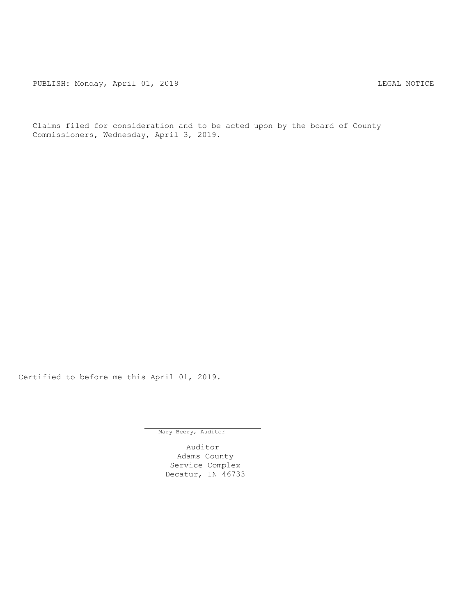PUBLISH: Monday, April 01, 2019 CHANGE CONSTRUCTED AND THE LEGAL NOTICE

Claims filed for consideration and to be acted upon by the board of County Commissioners, Wednesday, April 3, 2019.

Certified to before me this April 01, 2019.

Mary Beery, Auditor

Auditor Adams County Service Complex Decatur, IN 46733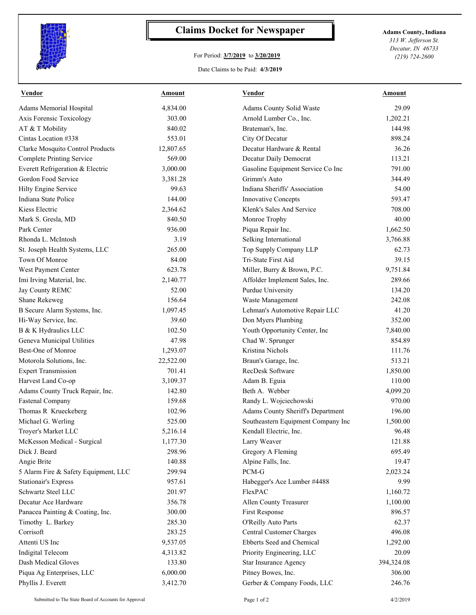

## **Claims Docket for Newspaper Adams County, Indiana**

## For Period: **3/7/2019** to **3/20/2019**

*313 W. Jefferson St. Decatur, IN 46733 (219) 724-2600*

Date Claims to be Paid: **4/3/2019**

| <b>Vendor</b>                        | Amount    | <b>Vendor</b>                      | Amount     |
|--------------------------------------|-----------|------------------------------------|------------|
| Adams Memorial Hospital              | 4,834.00  | Adams County Solid Waste           | 29.09      |
| Axis Forensic Toxicology             | 303.00    | Arnold Lumber Co., Inc.            | 1,202.21   |
| AT & T Mobility                      | 840.02    | Brateman's, Inc.                   | 144.98     |
| Cintas Location #338                 | 553.01    | City Of Decatur                    | 898.24     |
| Clarke Mosquito Control Products     | 12,807.65 | Decatur Hardware & Rental          | 36.26      |
| <b>Complete Printing Service</b>     | 569.00    | Decatur Daily Democrat             | 113.21     |
| Everett Refrigeration & Electric     | 3,000.00  | Gasoline Equipment Service Co Inc  | 791.00     |
| Gordon Food Service                  | 3,381.28  | Grimm's Auto                       | 344.49     |
| Hilty Engine Service                 | 99.63     | Indiana Sheriffs' Association      | 54.00      |
| Indiana State Police                 | 144.00    | Innovative Concepts                | 593.47     |
| Kiess Electric                       | 2,364.62  | Klenk's Sales And Service          | 708.00     |
| Mark S. Gresla, MD                   | 840.50    | Monroe Trophy                      | 40.00      |
| Park Center                          | 936.00    | Piqua Repair Inc.                  | 1,662.50   |
| Rhonda L. McIntosh                   | 3.19      | Selking International              | 3,766.88   |
| St. Joseph Health Systems, LLC       | 265.00    | Top Supply Company LLP             | 62.73      |
| Town Of Monroe                       | 84.00     | Tri-State First Aid                | 39.15      |
| West Payment Center                  | 623.78    | Miller, Burry & Brown, P.C.        | 9,751.84   |
| Imi Irving Material, Inc.            | 2,140.77  | Affolder Implement Sales, Inc.     | 289.66     |
| Jay County REMC                      | 52.00     | Purdue University                  | 134.20     |
| Shane Rekeweg                        | 156.64    | Waste Management                   | 242.08     |
| B Secure Alarm Systems, Inc.         | 1,097.45  | Lehman's Automotive Repair LLC     | 41.20      |
| Hi-Way Service, Inc.                 | 39.60     | Don Myers Plumbing                 | 352.00     |
| B & K Hydraulics LLC                 | 102.50    | Youth Opportunity Center, Inc      | 7,840.00   |
| Geneva Municipal Utilities           | 47.98     | Chad W. Sprunger                   | 854.89     |
| Best-One of Monroe                   | 1,293.07  | Kristina Nichols                   | 111.76     |
| Motorola Solutions, Inc.             | 22,522.00 | Braun's Garage, Inc.               | 513.21     |
| <b>Expert Transmission</b>           | 701.41    | RecDesk Software                   | 1,850.00   |
| Harvest Land Co-op                   | 3,109.37  | Adam B. Eguia                      | 110.00     |
| Adams County Truck Repair, Inc.      | 142.80    | Beth A. Webber                     | 4,099.20   |
| Fastenal Company                     | 159.68    | Randy L. Wojciechowski             | 970.00     |
| Thomas R Krueckeberg                 | 102.96    | Adams County Sheriff's Department  | 196.00     |
| Michael G. Werling                   | 525.00    | Southeastern Equipment Company Inc | 1,500.00   |
| Troyer's Market LLC                  | 5,216.14  | Kendall Electric, Inc.             | 96.48      |
| McKesson Medical - Surgical          | 1,177.30  | Larry Weaver                       | 121.88     |
| Dick J. Beard                        | 298.96    | Gregory A Fleming                  | 695.49     |
| Angie Brite                          | 140.88    | Alpine Falls, Inc.                 | 19.47      |
| 5 Alarm Fire & Safety Equipment, LLC | 299.94    | PCM-G                              | 2,023.24   |
| <b>Stationair's Express</b>          | 957.61    | Habegger's Ace Lumber #4488        | 9.99       |
| Schwartz Steel LLC                   | 201.97    | FlexPAC                            | 1,160.72   |
| Decatur Ace Hardware                 | 356.78    | Allen County Treasurer             | 1,100.00   |
| Panacea Painting & Coating, Inc.     | 300.00    | First Response                     | 896.57     |
| Timothy L. Barkey                    | 285.30    | O'Reilly Auto Parts                | 62.37      |
| Corrisoft                            | 283.25    | Central Customer Charges           | 496.08     |
| Attenti US Inc                       | 9,537.05  | Ebberts Seed and Chemical          | 1,292.00   |
| Indigital Telecom                    | 4,313.82  | Priority Engineering, LLC          | 20.09      |
| Dash Medical Gloves                  | 133.80    | Star Insurance Agency              | 394,324.08 |
| Piqua Ag Enterprises, LLC            | 6,000.00  | Pitney Bowes, Inc.                 | 306.00     |
| Phyllis J. Everett                   | 3,412.70  | Gerber & Company Foods, LLC        | 246.76     |
|                                      |           |                                    |            |